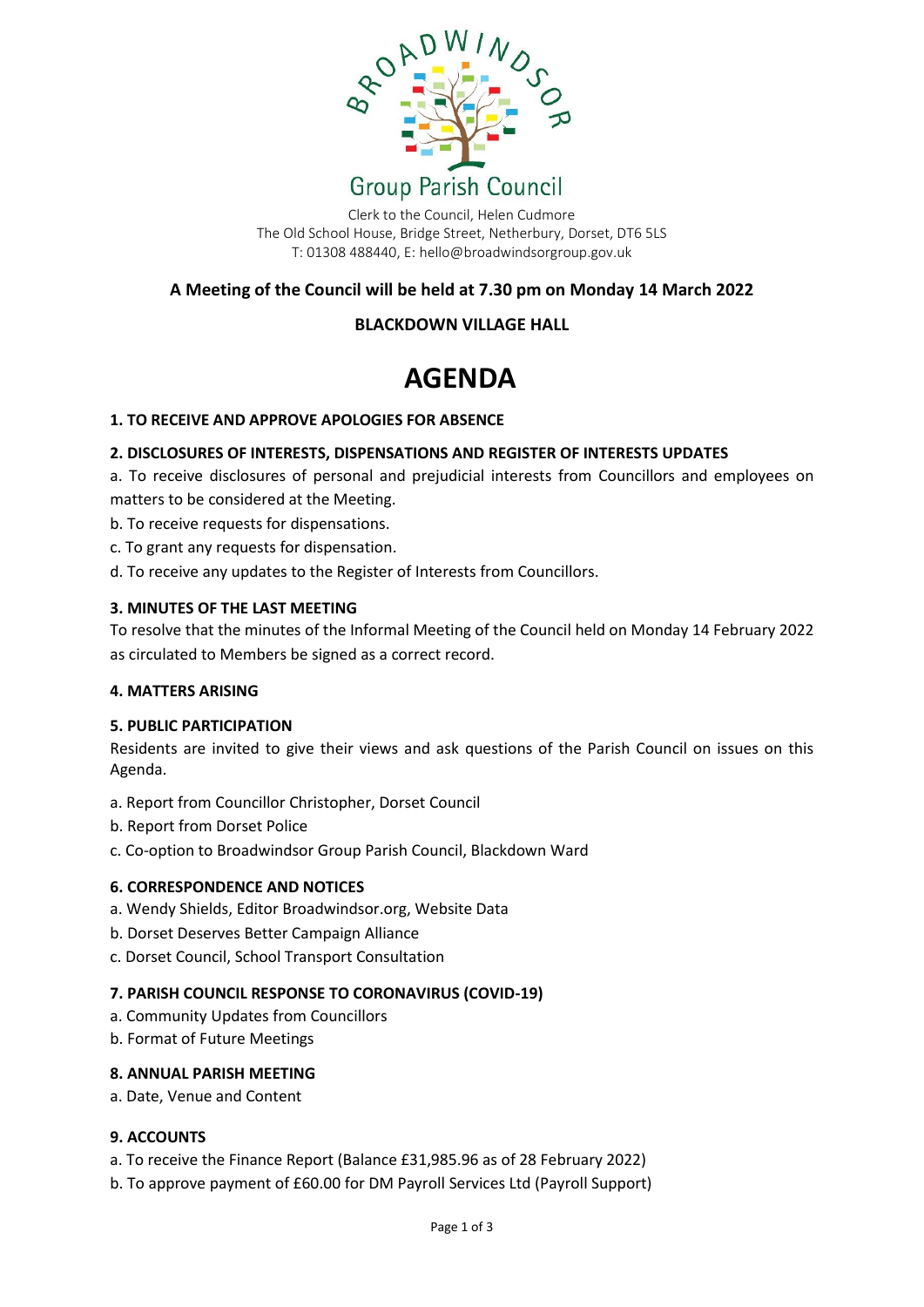

Clerk to the Council, Helen Cudmore The Old School House, Bridge Street, Netherbury, Dorset, DT6 5LS T: 01308 488440, E: hello@broadwindsorgroup.gov.uk

# **A Meeting of the Council will be held at 7.30 pm on Monday 14 March 2022**

# **BLACKDOWN VILLAGE HALL**

# **AGENDA**

# **1. TO RECEIVE AND APPROVE APOLOGIES FOR ABSENCE**

# **2. DISCLOSURES OF INTERESTS, DISPENSATIONS AND REGISTER OF INTERESTS UPDATES**

a. To receive disclosures of personal and prejudicial interests from Councillors and employees on matters to be considered at the Meeting.

- b. To receive requests for dispensations.
- c. To grant any requests for dispensation.
- d. To receive any updates to the Register of Interests from Councillors.

# **3. MINUTES OF THE LAST MEETING**

To resolve that the minutes of the Informal Meeting of the Council held on Monday 14 February 2022 as circulated to Members be signed as a correct record.

# **4. MATTERS ARISING**

# **5. PUBLIC PARTICIPATION**

Residents are invited to give their views and ask questions of the Parish Council on issues on this Agenda.

- a. Report from Councillor Christopher, Dorset Council
- b. Report from Dorset Police
- c. Co-option to Broadwindsor Group Parish Council, Blackdown Ward

# **6. CORRESPONDENCE AND NOTICES**

- a. Wendy Shields, Editor Broadwindsor.org, Website Data
- b. Dorset Deserves Better Campaign Alliance
- c. Dorset Council, School Transport Consultation

# **7. PARISH COUNCIL RESPONSE TO CORONAVIRUS (COVID-19)**

- a. Community Updates from Councillors
- b. Format of Future Meetings

#### **8. ANNUAL PARISH MEETING**

a. Date, Venue and Content

# **9. ACCOUNTS**

- a. To receive the Finance Report (Balance £31,985.96 as of 28 February 2022)
- b. To approve payment of £60.00 for DM Payroll Services Ltd (Payroll Support)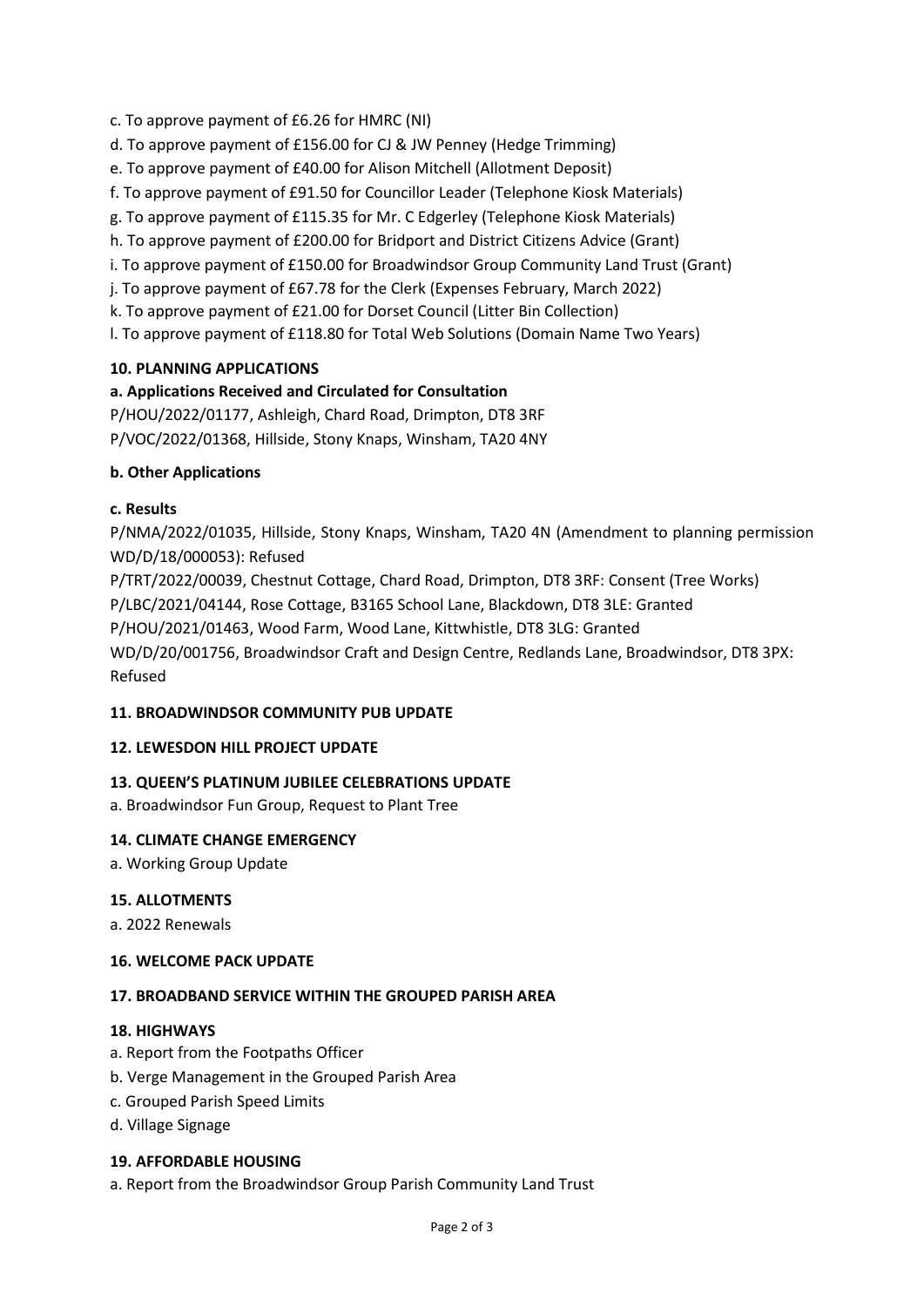- c. To approve payment of £6.26 for HMRC (NI)
- d. To approve payment of £156.00 for CJ & JW Penney (Hedge Trimming)
- e. To approve payment of £40.00 for Alison Mitchell (Allotment Deposit)
- f. To approve payment of £91.50 for Councillor Leader (Telephone Kiosk Materials)
- g. To approve payment of £115.35 for Mr. C Edgerley (Telephone Kiosk Materials)
- h. To approve payment of £200.00 for Bridport and District Citizens Advice (Grant)
- i. To approve payment of £150.00 for Broadwindsor Group Community Land Trust (Grant)
- j. To approve payment of £67.78 for the Clerk (Expenses February, March 2022)
- k. To approve payment of £21.00 for Dorset Council (Litter Bin Collection)
- l. To approve payment of £118.80 for Total Web Solutions (Domain Name Two Years)

# **10. PLANNING APPLICATIONS**

# **a. Applications Received and Circulated for Consultation**

P/HOU/2022/01177, Ashleigh, Chard Road, Drimpton, DT8 3RF P/VOC/2022/01368, Hillside, Stony Knaps, Winsham, TA20 4NY

# **b. Other Applications**

#### **c. Results**

P/NMA/2022/01035, Hillside, Stony Knaps, Winsham, TA20 4N (Amendment to planning permission WD/D/18/000053): Refused

P/TRT/2022/00039, Chestnut Cottage, Chard Road, Drimpton, DT8 3RF: Consent (Tree Works)

P/LBC/2021/04144, Rose Cottage, B3165 School Lane, Blackdown, DT8 3LE: Granted

P/HOU/2021/01463, Wood Farm, Wood Lane, Kittwhistle, DT8 3LG: Granted

WD/D/20/001756, Broadwindsor Craft and Design Centre, Redlands Lane, Broadwindsor, DT8 3PX: Refused

# **11. BROADWINDSOR COMMUNITY PUB UPDATE**

# **12. LEWESDON HILL PROJECT UPDATE**

# **13. QUEEN'S PLATINUM JUBILEE CELEBRATIONS UPDATE**

a. Broadwindsor Fun Group, Request to Plant Tree

# **14. CLIMATE CHANGE EMERGENCY**

a. Working Group Update

# **15. ALLOTMENTS**

a. 2022 Renewals

#### **16. WELCOME PACK UPDATE**

# **17. BROADBAND SERVICE WITHIN THE GROUPED PARISH AREA**

#### **18. HIGHWAYS**

- a. Report from the Footpaths Officer
- b. Verge Management in the Grouped Parish Area
- c. Grouped Parish Speed Limits
- d. Village Signage

#### **19. AFFORDABLE HOUSING**

a. Report from the Broadwindsor Group Parish Community Land Trust